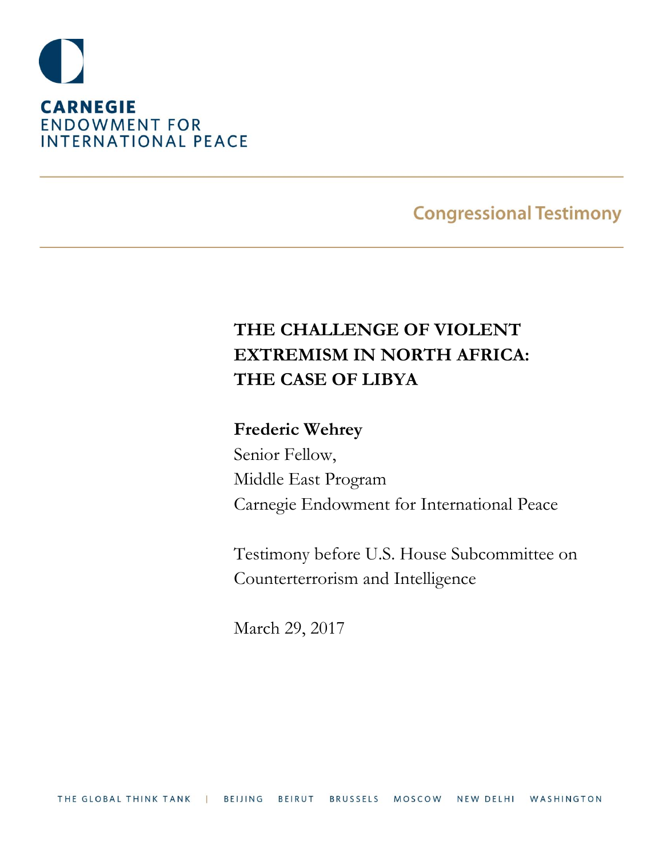

## **Congressional Testimony**

# **THE CHALLENGE OF VIOLENT EXTREMISM IN NORTH AFRICA: THE CASE OF LIBYA**

### **Frederic Wehrey**

Senior Fellow, Middle East Program Carnegie Endowment for International Peace

Testimony before U.S. House Subcommittee on Counterterrorism and Intelligence

March 29, 2017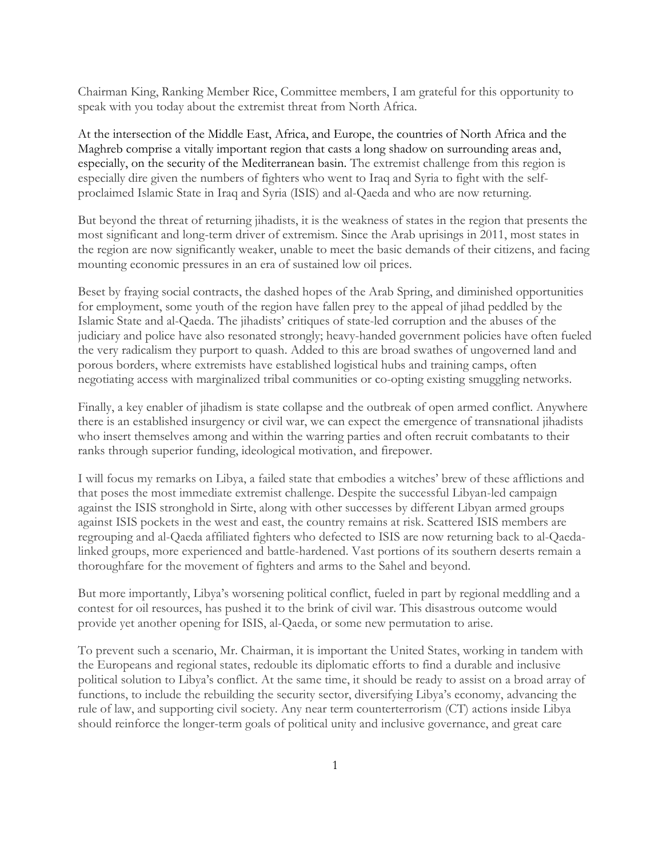Chairman King, Ranking Member Rice, Committee members, I am grateful for this opportunity to speak with you today about the extremist threat from North Africa.

At the intersection of the Middle East, Africa, and Europe, the countries of North Africa and the Maghreb comprise a vitally important region that casts a long shadow on surrounding areas and, especially, on the security of the Mediterranean basin. The extremist challenge from this region is especially dire given the numbers of fighters who went to Iraq and Syria to fight with the selfproclaimed Islamic State in Iraq and Syria (ISIS) and al-Qaeda and who are now returning.

But beyond the threat of returning jihadists, it is the weakness of states in the region that presents the most significant and long-term driver of extremism. Since the Arab uprisings in 2011, most states in the region are now significantly weaker, unable to meet the basic demands of their citizens, and facing mounting economic pressures in an era of sustained low oil prices.

Beset by fraying social contracts, the dashed hopes of the Arab Spring, and diminished opportunities for employment, some youth of the region have fallen prey to the appeal of jihad peddled by the Islamic State and al-Qaeda. The jihadists' critiques of state-led corruption and the abuses of the judiciary and police have also resonated strongly; heavy-handed government policies have often fueled the very radicalism they purport to quash. Added to this are broad swathes of ungoverned land and porous borders, where extremists have established logistical hubs and training camps, often negotiating access with marginalized tribal communities or co-opting existing smuggling networks.

Finally, a key enabler of jihadism is state collapse and the outbreak of open armed conflict. Anywhere there is an established insurgency or civil war, we can expect the emergence of transnational jihadists who insert themselves among and within the warring parties and often recruit combatants to their ranks through superior funding, ideological motivation, and firepower.

I will focus my remarks on Libya, a failed state that embodies a witches' brew of these afflictions and that poses the most immediate extremist challenge. Despite the successful Libyan-led campaign against the ISIS stronghold in Sirte, along with other successes by different Libyan armed groups against ISIS pockets in the west and east, the country remains at risk. Scattered ISIS members are regrouping and al-Qaeda affiliated fighters who defected to ISIS are now returning back to al-Qaedalinked groups, more experienced and battle-hardened. Vast portions of its southern deserts remain a thoroughfare for the movement of fighters and arms to the Sahel and beyond.

But more importantly, Libya's worsening political conflict, fueled in part by regional meddling and a contest for oil resources, has pushed it to the brink of civil war. This disastrous outcome would provide yet another opening for ISIS, al-Qaeda, or some new permutation to arise.

To prevent such a scenario, Mr. Chairman, it is important the United States, working in tandem with the Europeans and regional states, redouble its diplomatic efforts to find a durable and inclusive political solution to Libya's conflict. At the same time, it should be ready to assist on a broad array of functions, to include the rebuilding the security sector, diversifying Libya's economy, advancing the rule of law, and supporting civil society. Any near term counterterrorism (CT) actions inside Libya should reinforce the longer-term goals of political unity and inclusive governance, and great care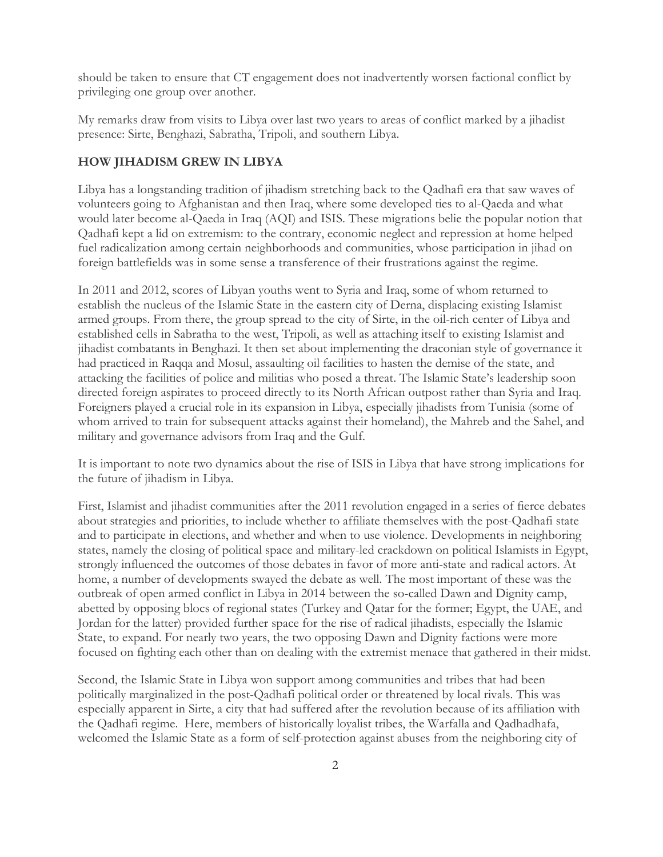should be taken to ensure that CT engagement does not inadvertently worsen factional conflict by privileging one group over another.

My remarks draw from visits to Libya over last two years to areas of conflict marked by a jihadist presence: Sirte, Benghazi, Sabratha, Tripoli, and southern Libya.

#### **HOW JIHADISM GREW IN LIBYA**

Libya has a longstanding tradition of jihadism stretching back to the Qadhafi era that saw waves of volunteers going to Afghanistan and then Iraq, where some developed ties to al-Qaeda and what would later become al-Qaeda in Iraq (AQI) and ISIS. These migrations belie the popular notion that Qadhafi kept a lid on extremism: to the contrary, economic neglect and repression at home helped fuel radicalization among certain neighborhoods and communities, whose participation in jihad on foreign battlefields was in some sense a transference of their frustrations against the regime.

In 2011 and 2012, scores of Libyan youths went to Syria and Iraq, some of whom returned to establish the nucleus of the Islamic State in the eastern city of Derna, displacing existing Islamist armed groups. From there, the group spread to the city of Sirte, in the oil-rich center of Libya and established cells in Sabratha to the west, Tripoli, as well as attaching itself to existing Islamist and jihadist combatants in Benghazi. It then set about implementing the draconian style of governance it had practiced in Raqqa and Mosul, assaulting oil facilities to hasten the demise of the state, and attacking the facilities of police and militias who posed a threat. The Islamic State's leadership soon directed foreign aspirates to proceed directly to its North African outpost rather than Syria and Iraq. Foreigners played a crucial role in its expansion in Libya, especially jihadists from Tunisia (some of whom arrived to train for subsequent attacks against their homeland), the Mahreb and the Sahel, and military and governance advisors from Iraq and the Gulf.

It is important to note two dynamics about the rise of ISIS in Libya that have strong implications for the future of jihadism in Libya.

First, Islamist and jihadist communities after the 2011 revolution engaged in a series of fierce debates about strategies and priorities, to include whether to affiliate themselves with the post-Qadhafi state and to participate in elections, and whether and when to use violence. Developments in neighboring states, namely the closing of political space and military-led crackdown on political Islamists in Egypt, strongly influenced the outcomes of those debates in favor of more anti-state and radical actors. At home, a number of developments swayed the debate as well. The most important of these was the outbreak of open armed conflict in Libya in 2014 between the so-called Dawn and Dignity camp, abetted by opposing blocs of regional states (Turkey and Qatar for the former; Egypt, the UAE, and Jordan for the latter) provided further space for the rise of radical jihadists, especially the Islamic State, to expand. For nearly two years, the two opposing Dawn and Dignity factions were more focused on fighting each other than on dealing with the extremist menace that gathered in their midst.

Second, the Islamic State in Libya won support among communities and tribes that had been politically marginalized in the post-Qadhafi political order or threatened by local rivals. This was especially apparent in Sirte, a city that had suffered after the revolution because of its affiliation with the Qadhafi regime. Here, members of historically loyalist tribes, the Warfalla and Qadhadhafa, welcomed the Islamic State as a form of self-protection against abuses from the neighboring city of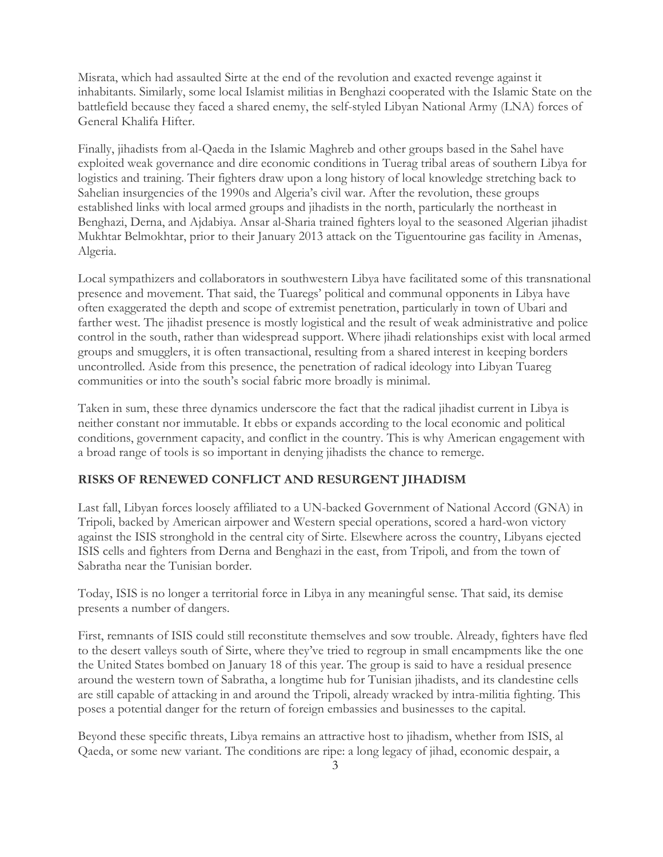Misrata, which had assaulted Sirte at the end of the revolution and exacted revenge against it inhabitants. Similarly, some local Islamist militias in Benghazi cooperated with the Islamic State on the battlefield because they faced a shared enemy, the self-styled Libyan National Army (LNA) forces of General Khalifa Hifter.

Finally, jihadists from al-Qaeda in the Islamic Maghreb and other groups based in the Sahel have exploited weak governance and dire economic conditions in Tuerag tribal areas of southern Libya for logistics and training. Their fighters draw upon a long history of local knowledge stretching back to Sahelian insurgencies of the 1990s and Algeria's civil war. After the revolution, these groups established links with local armed groups and jihadists in the north, particularly the northeast in Benghazi, Derna, and Ajdabiya. Ansar al-Sharia trained fighters loyal to the seasoned Algerian jihadist Mukhtar Belmokhtar, prior to their January 2013 attack on the Tiguentourine gas facility in Amenas, Algeria.

Local sympathizers and collaborators in southwestern Libya have facilitated some of this transnational presence and movement. That said, the Tuaregs' political and communal opponents in Libya have often exaggerated the depth and scope of extremist penetration, particularly in town of Ubari and farther west. The jihadist presence is mostly logistical and the result of weak administrative and police control in the south, rather than widespread support. Where jihadi relationships exist with local armed groups and smugglers, it is often transactional, resulting from a shared interest in keeping borders uncontrolled. Aside from this presence, the penetration of radical ideology into Libyan Tuareg communities or into the south's social fabric more broadly is minimal.

Taken in sum, these three dynamics underscore the fact that the radical jihadist current in Libya is neither constant nor immutable. It ebbs or expands according to the local economic and political conditions, government capacity, and conflict in the country. This is why American engagement with a broad range of tools is so important in denying jihadists the chance to remerge.

#### **RISKS OF RENEWED CONFLICT AND RESURGENT JIHADISM**

Last fall, Libyan forces loosely affiliated to a UN-backed Government of National Accord (GNA) in Tripoli, backed by American airpower and Western special operations, scored a hard-won victory against the ISIS stronghold in the central city of Sirte. Elsewhere across the country, Libyans ejected ISIS cells and fighters from Derna and Benghazi in the east, from Tripoli, and from the town of Sabratha near the Tunisian border.

Today, ISIS is no longer a territorial force in Libya in any meaningful sense. That said, its demise presents a number of dangers.

First, remnants of ISIS could still reconstitute themselves and sow trouble. Already, fighters have fled to the desert valleys south of Sirte, where they've tried to regroup in small encampments like the one the United States bombed on January 18 of this year. The group is said to have a residual presence around the western town of Sabratha, a longtime hub for Tunisian jihadists, and its clandestine cells are still capable of attacking in and around the Tripoli, already wracked by intra-militia fighting. This poses a potential danger for the return of foreign embassies and businesses to the capital.

Beyond these specific threats, Libya remains an attractive host to jihadism, whether from ISIS, al Qaeda, or some new variant. The conditions are ripe: a long legacy of jihad, economic despair, a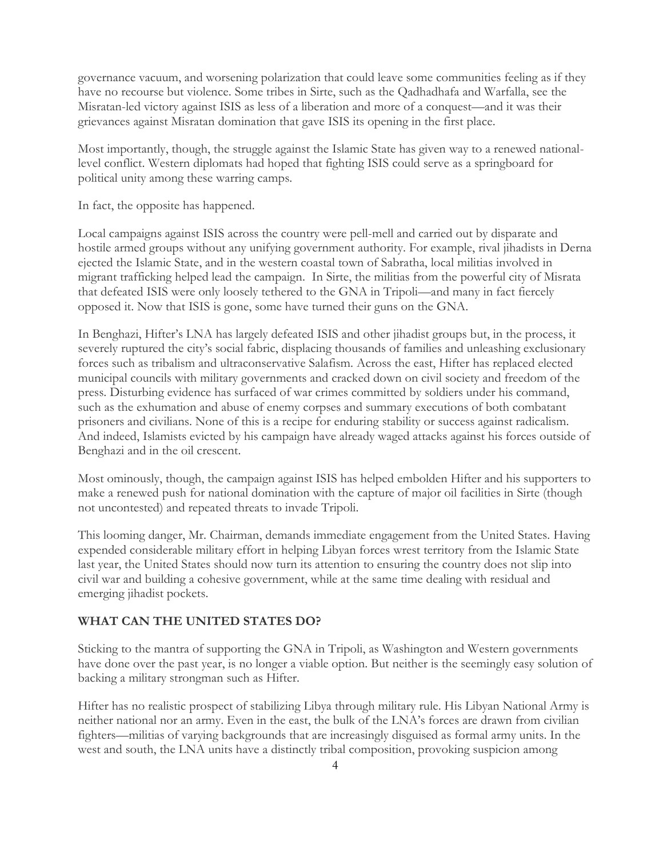governance vacuum, and worsening polarization that could leave some communities feeling as if they have no recourse but violence. Some tribes in Sirte, such as the Qadhadhafa and Warfalla, see the Misratan-led victory against ISIS as less of a liberation and more of a conquest—and it was their grievances against Misratan domination that gave ISIS its opening in the first place.

Most importantly, though, the struggle against the Islamic State has given way to a renewed nationallevel conflict. Western diplomats had hoped that fighting ISIS could serve as a springboard for political unity among these warring camps.

In fact, the opposite has happened.

Local campaigns against ISIS across the country were pell-mell and carried out by disparate and hostile armed groups without any unifying government authority. For example, rival jihadists in Derna ejected the Islamic State, and in the western coastal town of Sabratha, local militias involved in migrant trafficking helped lead the campaign. In Sirte, the militias from the powerful city of Misrata that defeated ISIS were only loosely tethered to the GNA in Tripoli—and many in fact fiercely opposed it. Now that ISIS is gone, some have turned their guns on the GNA.

In Benghazi, Hifter's LNA has largely defeated ISIS and other jihadist groups but, in the process, it severely ruptured the city's social fabric, displacing thousands of families and unleashing exclusionary forces such as tribalism and ultraconservative Salafism. Across the east, Hifter has replaced elected municipal councils with military governments and cracked down on civil society and freedom of the press. Disturbing evidence has surfaced of war crimes committed by soldiers under his command, such as the exhumation and abuse of enemy corpses and summary executions of both combatant prisoners and civilians. None of this is a recipe for enduring stability or success against radicalism. And indeed, Islamists evicted by his campaign have already waged attacks against his forces outside of Benghazi and in the oil crescent.

Most ominously, though, the campaign against ISIS has helped embolden Hifter and his supporters to make a renewed push for national domination with the capture of major oil facilities in Sirte (though not uncontested) and repeated threats to invade Tripoli.

This looming danger, Mr. Chairman, demands immediate engagement from the United States. Having expended considerable military effort in helping Libyan forces wrest territory from the Islamic State last year, the United States should now turn its attention to ensuring the country does not slip into civil war and building a cohesive government, while at the same time dealing with residual and emerging jihadist pockets.

#### **WHAT CAN THE UNITED STATES DO?**

Sticking to the mantra of supporting the GNA in Tripoli, as Washington and Western governments have done over the past year, is no longer a viable option. But neither is the seemingly easy solution of backing a military strongman such as Hifter.

Hifter has no realistic prospect of stabilizing Libya through military rule. His Libyan National Army is neither national nor an army. Even in the east, the bulk of the LNA's forces are drawn from civilian fighters—militias of varying backgrounds that are increasingly disguised as formal army units. In the west and south, the LNA units have a distinctly tribal composition, provoking suspicion among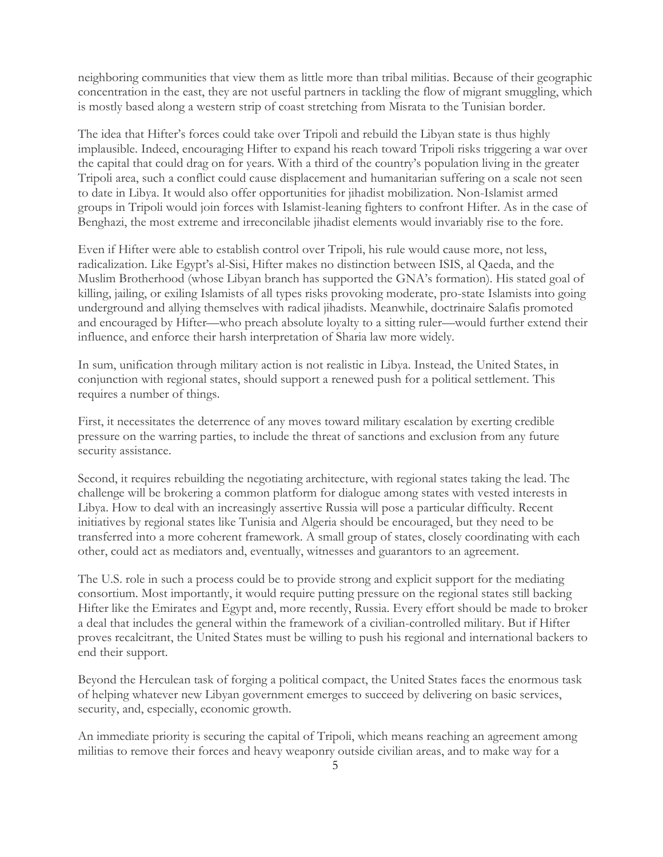neighboring communities that view them as little more than tribal militias. Because of their geographic concentration in the east, they are not useful partners in tackling the flow of migrant smuggling, which is mostly based along a western strip of coast stretching from Misrata to the Tunisian border.

The idea that Hifter's forces could take over Tripoli and rebuild the Libyan state is thus highly implausible. Indeed, encouraging Hifter to expand his reach toward Tripoli risks triggering a war over the capital that could drag on for years. With a third of the country's population living in the greater Tripoli area, such a conflict could cause displacement and humanitarian suffering on a scale not seen to date in Libya. It would also offer opportunities for jihadist mobilization. Non-Islamist armed groups in Tripoli would join forces with Islamist-leaning fighters to confront Hifter. As in the case of Benghazi, the most extreme and irreconcilable jihadist elements would invariably rise to the fore.

Even if Hifter were able to establish control over Tripoli, his rule would cause more, not less, radicalization. Like Egypt's al-Sisi, Hifter makes no distinction between ISIS, al Qaeda, and the Muslim Brotherhood (whose Libyan branch has supported the GNA's formation). His stated goal of killing, jailing, or exiling Islamists of all types risks provoking moderate, pro-state Islamists into going underground and allying themselves with radical jihadists. Meanwhile, doctrinaire Salafis promoted and encouraged by Hifter—who preach absolute loyalty to a sitting ruler—would further extend their influence, and enforce their harsh interpretation of Sharia law more widely.

In sum, unification through military action is not realistic in Libya. Instead, the United States, in conjunction with regional states, should support a renewed push for a political settlement. This requires a number of things.

First, it necessitates the deterrence of any moves toward military escalation by exerting credible pressure on the warring parties, to include the threat of sanctions and exclusion from any future security assistance.

Second, it requires rebuilding the negotiating architecture, with regional states taking the lead. The challenge will be brokering a common platform for dialogue among states with vested interests in Libya. How to deal with an increasingly assertive Russia will pose a particular difficulty. Recent initiatives by regional states like Tunisia and Algeria should be encouraged, but they need to be transferred into a more coherent framework. A small group of states, closely coordinating with each other, could act as mediators and, eventually, witnesses and guarantors to an agreement.

The U.S. role in such a process could be to provide strong and explicit support for the mediating consortium. Most importantly, it would require putting pressure on the regional states still backing Hifter like the Emirates and Egypt and, more recently, Russia. Every effort should be made to broker a deal that includes the general within the framework of a civilian-controlled military. But if Hifter proves recalcitrant, the United States must be willing to push his regional and international backers to end their support.

Beyond the Herculean task of forging a political compact, the United States faces the enormous task of helping whatever new Libyan government emerges to succeed by delivering on basic services, security, and, especially, economic growth.

An immediate priority is securing the capital of Tripoli, which means reaching an agreement among militias to remove their forces and heavy weaponry outside civilian areas, and to make way for a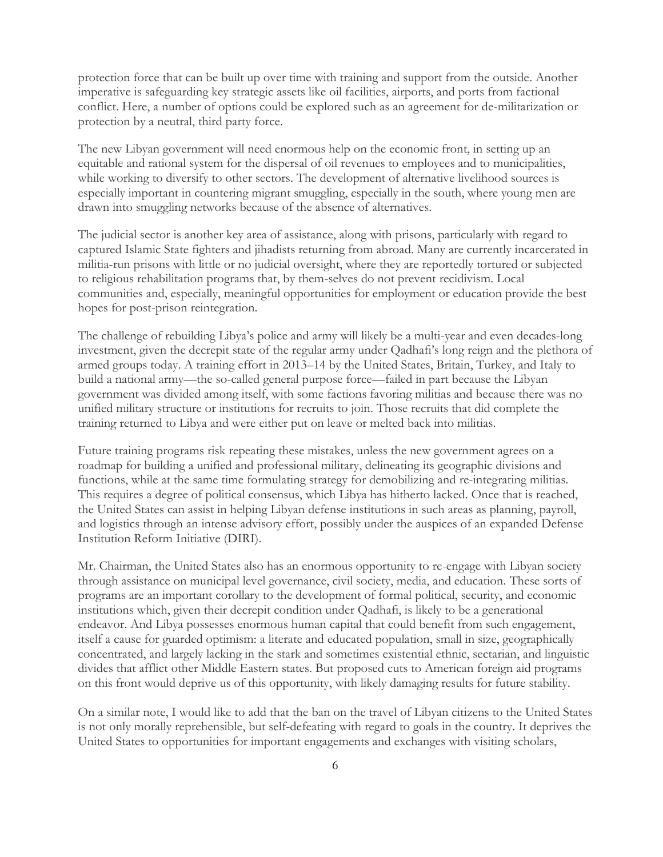protection force that can be built up over time with training and support from the outside. Another imperative is safeguarding key strategic assets like oil facilities, airports, and ports from factional conflict. Here, a number of options could be explored such as an agreement for de-militarization or protection by a neutral, third party force.

The new Libyan government will need enormous help on the economic front, in setting up an equitable and rational system for the dispersal of oil revenues to employees and to municipalities, while working to diversify to other sectors. The development of alternative livelihood sources is especially important in countering migrant smuggling, especially in the south, where young men are drawn into smuggling networks because of the absence of alternatives.

The judicial sector is another key area of assistance, along with prisons, particularly with regard to captured Islamic State fighters and jihadists returning from abroad. Many are currently incarcerated in militia-run prisons with little or no judicial oversight, where they are reportedly tortured or subjected to religious rehabilitation programs that, by them-selves do not prevent recidivism. Local communities and, especially, meaningful opportunities for employment or education provide the best hopes for post-prison reintegration.

The challenge of rebuilding Libya's police and army will likely be a multi-year and even decades-long investment, given the decrepit state of the regular army under Qadhafi's long reign and the plethora of armed groups today. A training effort in 2013–14 by the United States, Britain, Turkey, and Italy to build a national army—the so-called general purpose force—failed in part because the Libyan government was divided among itself, with some factions favoring militias and because there was no unified military structure or institutions for recruits to join. Those recruits that did complete the training returned to Libya and were either put on leave or melted back into militias.

Future training programs risk repeating these mistakes, unless the new government agrees on a roadmap for building a unified and professional military, delineating its geographic divisions and functions, while at the same time formulating strategy for demobilizing and re-integrating militias. This requires a degree of political consensus, which Libya has hitherto lacked. Once that is reached, the United States can assist in helping Libyan defense institutions in such areas as planning, payroll, and logistics through an intense advisory effort, possibly under the auspices of an expanded Defense Institution Reform Initiative (DIRI).

Mr. Chairman, the United States also has an enormous opportunity to re-engage with Libyan society through assistance on municipal level governance, civil society, media, and education. These sorts of programs are an important corollary to the development of formal political, security, and economic institutions which, given their decrepit condition under Qadhafi, is likely to be a generational endeavor. And Libya possesses enormous human capital that could benefit from such engagement, itself a cause for guarded optimism: a literate and educated population, small in size, geographically concentrated, and largely lacking in the stark and sometimes existential ethnic, sectarian, and linguistic divides that afflict other Middle Eastern states. But proposed cuts to American foreign aid programs on this front would deprive us of this opportunity, with likely damaging results for future stability.

On a similar note, I would like to add that the ban on the travel of Libyan citizens to the United States is not only morally reprehensible, but self-defeating with regard to goals in the country. It deprives the United States to opportunities for important engagements and exchanges with visiting scholars,